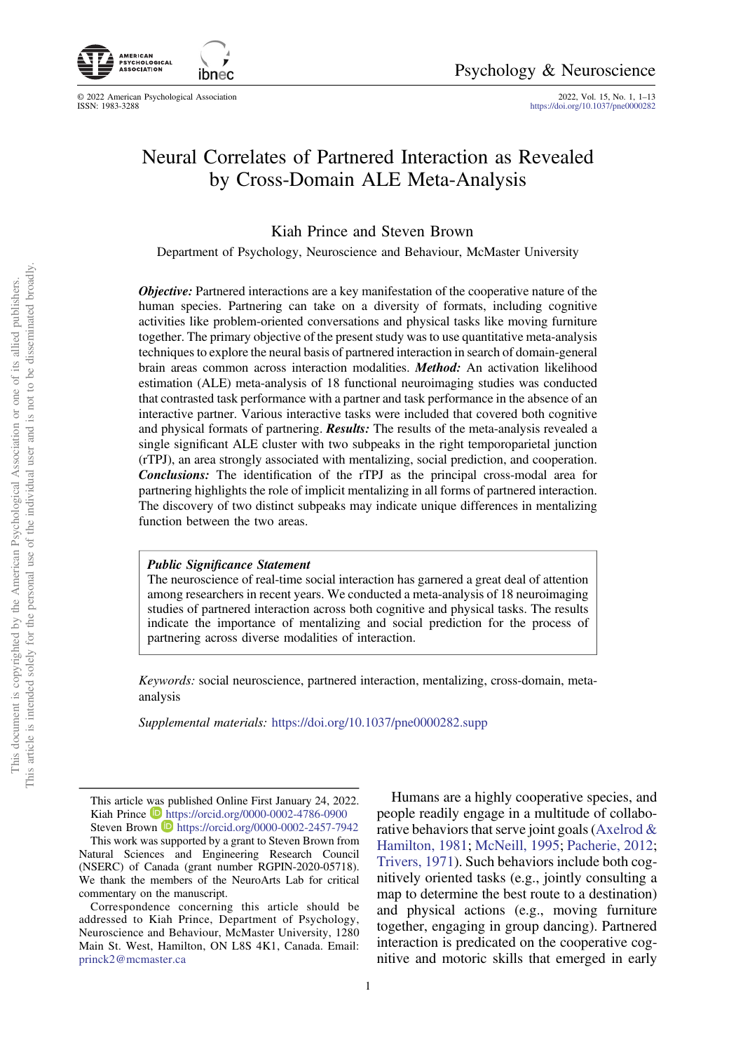

© 2022 American Psychological Association<br>ISSN: 1983-3288

2022, Vol. 15, No. 1, 1–13<br><https://doi.org/10.1037/pne0000282>

# Neural Correlates of Partnered Interaction as Revealed by Cross-Domain ALE Meta-Analysis

Kiah Prince and Steven Brown

Department of Psychology, Neuroscience and Behaviour, McMaster University

**Objective:** Partnered interactions are a key manifestation of the cooperative nature of the human species. Partnering can take on a diversity of formats, including cognitive activities like problem-oriented conversations and physical tasks like moving furniture together. The primary objective of the present study was to use quantitative meta-analysis techniques to explore the neural basis of partnered interaction in search of domain-general brain areas common across interaction modalities. Method: An activation likelihood estimation (ALE) meta-analysis of 18 functional neuroimaging studies was conducted that contrasted task performance with a partner and task performance in the absence of an interactive partner. Various interactive tasks were included that covered both cognitive and physical formats of partnering. **Results:** The results of the meta-analysis revealed a single significant ALE cluster with two subpeaks in the right temporoparietal junction (rTPJ), an area strongly associated with mentalizing, social prediction, and cooperation. Conclusions: The identification of the rTPJ as the principal cross-modal area for partnering highlights the role of implicit mentalizing in all forms of partnered interaction. The discovery of two distinct subpeaks may indicate unique differences in mentalizing function between the two areas.

# Public Significance Statement

The neuroscience of real-time social interaction has garnered a great deal of attention among researchers in recent years. We conducted a meta-analysis of 18 neuroimaging studies of partnered interaction across both cognitive and physical tasks. The results indicate the importance of mentalizing and social prediction for the process of partnering across diverse modalities of interaction.

Keywords: social neuroscience, partnered interaction, mentalizing, cross-domain, metaanalysis

Supplemental materials: <https://doi.org/10.1037/pne0000282.supp>

Humans are a highly cooperative species, and people readily engage in a multitude of collaborative behaviors that serve joint goals ([Axelrod &](#page-9-0) [Hamilton, 1981](#page-9-0); [McNeill, 1995](#page-10-0); [Pacherie, 2012](#page-10-0); [Trivers, 1971](#page-11-0)). Such behaviors include both cognitively oriented tasks (e.g., jointly consulting a map to determine the best route to a destination) and physical actions (e.g., moving furniture together, engaging in group dancing). Partnered interaction is predicated on the cooperative cognitive and motoric skills that emerged in early

This article was published Online First January 24, 2022. Kiah Prince <https://orcid.org/0000-0002-4786-0900> Steven Brown **<https://orcid.org/0000-0002-2457-7942>** 

This work was supported by a grant to Steven Brown from Natural Sciences and Engineering Research Council (NSERC) of Canada (grant number RGPIN-2020-05718). We thank the members of the NeuroArts Lab for critical commentary on the manuscript.

Correspondence concerning this article should be addressed to Kiah Prince, Department of Psychology, Neuroscience and Behaviour, McMaster University, 1280 Main St. West, Hamilton, ON L8S 4K1, Canada. Email: [princk2@mcmaster.ca](mailto:princk2@mcmaster.ca)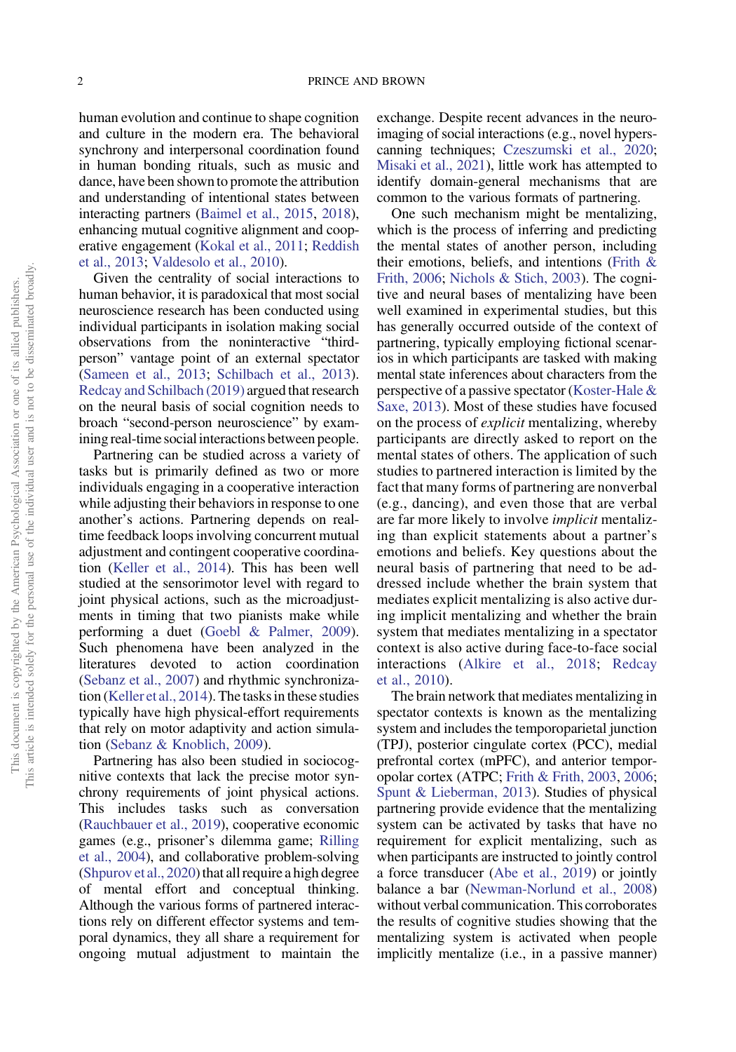human evolution and continue to shape cognition and culture in the modern era. The behavioral synchrony and interpersonal coordination found in human bonding rituals, such as music and dance, have been shown to promote the attribution and understanding of intentional states between interacting partners [\(Baimel et al., 2015,](#page-9-0) [2018](#page-9-0)), enhancing mutual cognitive alignment and cooperative engagement ([Kokal et al., 2011](#page-10-0); [Reddish](#page-11-0) [et al., 2013;](#page-11-0) [Valdesolo et al., 2010](#page-11-0)).

Given the centrality of social interactions to human behavior, it is paradoxical that most social neuroscience research has been conducted using individual participants in isolation making social observations from the noninteractive "thirdperson" vantage point of an external spectator [\(Sameen et al., 2013](#page-11-0); [Schilbach et al., 2013](#page-11-0)). [Redcay and Schilbach \(2019\)](#page-11-0) argued that research on the neural basis of social cognition needs to broach "second-person neuroscience" by examining real-time social interactions between people.

Partnering can be studied across a variety of tasks but is primarily defined as two or more individuals engaging in a cooperative interaction while adjusting their behaviors in response to one another's actions. Partnering depends on realtime feedback loops involving concurrent mutual adjustment and contingent cooperative coordination [\(Keller et al., 2014](#page-9-0)). This has been well studied at the sensorimotor level with regard to joint physical actions, such as the microadjustments in timing that two pianists make while performing a duet [\(Goebl & Palmer, 2009](#page-9-0)). Such phenomena have been analyzed in the literatures devoted to action coordination [\(Sebanz et al., 2007](#page-11-0)) and rhythmic synchronization [\(Keller et al., 2014](#page-9-0)). The tasks in these studies typically have high physical-effort requirements that rely on motor adaptivity and action simulation ([Sebanz & Knoblich, 2009](#page-11-0)).

Partnering has also been studied in sociocognitive contexts that lack the precise motor synchrony requirements of joint physical actions. This includes tasks such as conversation [\(Rauchbauer et al., 2019](#page-10-0)), cooperative economic games (e.g., prisoner's dilemma game; [Rilling](#page-11-0) [et al., 2004\)](#page-11-0), and collaborative problem-solving [\(Shpurov et al., 2020\)](#page-11-0) that all require a high degree of mental effort and conceptual thinking. Although the various forms of partnered interactions rely on different effector systems and temporal dynamics, they all share a requirement for ongoing mutual adjustment to maintain the exchange. Despite recent advances in the neuroimaging of social interactions (e.g., novel hyperscanning techniques; [Czeszumski et al., 2020](#page-9-0); [Misaki et al., 2021\)](#page-10-0), little work has attempted to identify domain-general mechanisms that are common to the various formats of partnering.

One such mechanism might be mentalizing, which is the process of inferring and predicting the mental states of another person, including their emotions, beliefs, and intentions [\(Frith &](#page-9-0) [Frith, 2006;](#page-9-0) [Nichols & Stich, 2003\)](#page-10-0). The cognitive and neural bases of mentalizing have been well examined in experimental studies, but this has generally occurred outside of the context of partnering, typically employing fictional scenarios in which participants are tasked with making mental state inferences about characters from the perspective of a passive spectator [\(Koster-Hale &](#page-10-0) [Saxe, 2013](#page-10-0)). Most of these studies have focused on the process of explicit mentalizing, whereby participants are directly asked to report on the mental states of others. The application of such studies to partnered interaction is limited by the fact that many forms of partnering are nonverbal (e.g., dancing), and even those that are verbal are far more likely to involve implicit mentalizing than explicit statements about a partner's emotions and beliefs. Key questions about the neural basis of partnering that need to be addressed include whether the brain system that mediates explicit mentalizing is also active during implicit mentalizing and whether the brain system that mediates mentalizing in a spectator context is also active during face-to-face social interactions [\(Alkire et al., 2018](#page-8-0); [Redcay](#page-11-0) [et al., 2010](#page-11-0)).

The brain network that mediates mentalizing in spectator contexts is known as the mentalizing system and includes the temporoparietal junction (TPJ), posterior cingulate cortex (PCC), medial prefrontal cortex (mPFC), and anterior temporopolar cortex (ATPC; [Frith & Frith, 2003](#page-9-0), [2006](#page-9-0); [Spunt & Lieberman, 2013](#page-11-0)). Studies of physical partnering provide evidence that the mentalizing system can be activated by tasks that have no requirement for explicit mentalizing, such as when participants are instructed to jointly control a force transducer [\(Abe et al., 2019](#page-8-0)) or jointly balance a bar ([Newman-Norlund et al., 2008\)](#page-10-0) without verbal communication. This corroborates the results of cognitive studies showing that the mentalizing system is activated when people implicitly mentalize (i.e., in a passive manner)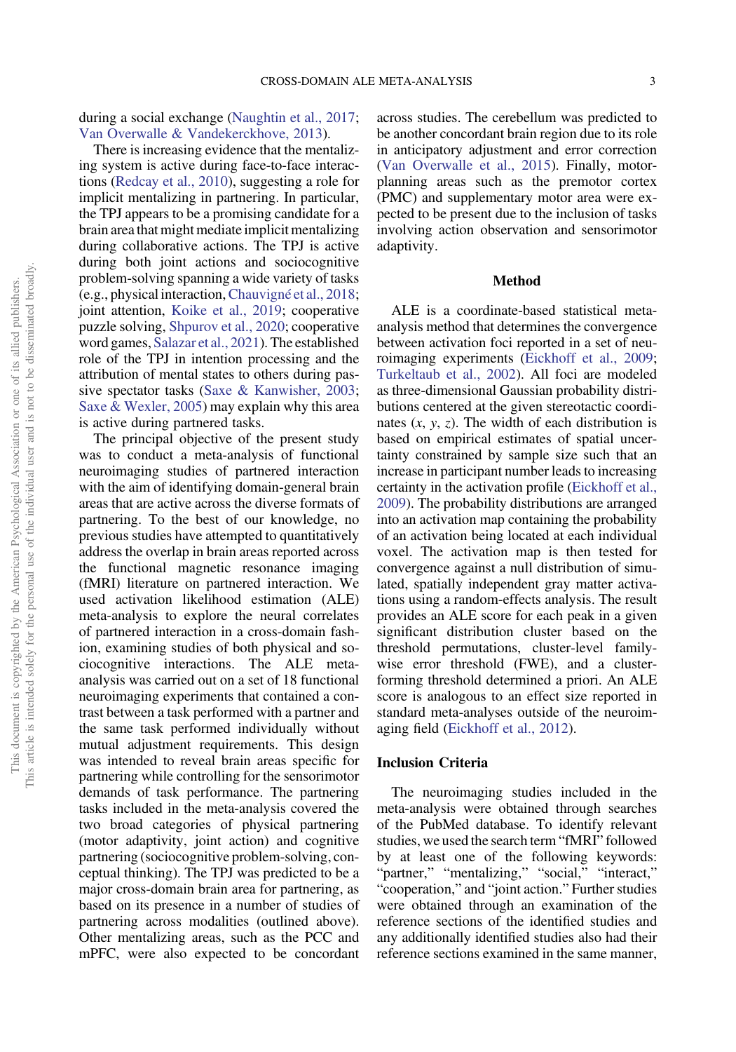during a social exchange ([Naughtin et al., 2017](#page-10-0); [Van Overwalle & Vandekerckhove, 2013\)](#page-11-0).

There is increasing evidence that the mentalizing system is active during face-to-face interactions [\(Redcay et al., 2010](#page-11-0)), suggesting a role for implicit mentalizing in partnering. In particular, the TPJ appears to be a promising candidate for a brain area that might mediate implicit mentalizing during collaborative actions. The TPJ is active during both joint actions and sociocognitive problem-solving spanning a wide variety of tasks (e.g., physical interaction,[Chauvigné et al., 2018](#page-9-0); joint attention, [Koike et al., 2019](#page-10-0); cooperative puzzle solving, [Shpurov et al., 2020](#page-11-0); cooperative word games, [Salazar et al., 2021\)](#page-11-0). The established role of the TPJ in intention processing and the attribution of mental states to others during passive spectator tasks ([Saxe & Kanwisher, 2003](#page-11-0); [Saxe & Wexler, 2005\)](#page-11-0) may explain why this area is active during partnered tasks.

The principal objective of the present study was to conduct a meta-analysis of functional neuroimaging studies of partnered interaction with the aim of identifying domain-general brain areas that are active across the diverse formats of partnering. To the best of our knowledge, no previous studies have attempted to quantitatively address the overlap in brain areas reported across the functional magnetic resonance imaging (fMRI) literature on partnered interaction. We used activation likelihood estimation (ALE) meta-analysis to explore the neural correlates of partnered interaction in a cross-domain fashion, examining studies of both physical and sociocognitive interactions. The ALE metaanalysis was carried out on a set of 18 functional neuroimaging experiments that contained a contrast between a task performed with a partner and the same task performed individually without mutual adjustment requirements. This design was intended to reveal brain areas specific for partnering while controlling for the sensorimotor demands of task performance. The partnering tasks included in the meta-analysis covered the two broad categories of physical partnering (motor adaptivity, joint action) and cognitive partnering (sociocognitive problem-solving, conceptual thinking). The TPJ was predicted to be a major cross-domain brain area for partnering, as based on its presence in a number of studies of partnering across modalities (outlined above). Other mentalizing areas, such as the PCC and mPFC, were also expected to be concordant

across studies. The cerebellum was predicted to be another concordant brain region due to its role in anticipatory adjustment and error correction [\(Van Overwalle et al., 2015](#page-11-0)). Finally, motorplanning areas such as the premotor cortex (PMC) and supplementary motor area were expected to be present due to the inclusion of tasks involving action observation and sensorimotor adaptivity.

#### Method

ALE is a coordinate-based statistical metaanalysis method that determines the convergence between activation foci reported in a set of neuroimaging experiments ([Eickhoff et al., 2009](#page-9-0); [Turkeltaub et al., 2002](#page-11-0)). All foci are modeled as three-dimensional Gaussian probability distributions centered at the given stereotactic coordinates  $(x, y, z)$ . The width of each distribution is based on empirical estimates of spatial uncertainty constrained by sample size such that an increase in participant number leads to increasing certainty in the activation profile ([Eickhoff et al.,](#page-9-0) [2009](#page-9-0)). The probability distributions are arranged into an activation map containing the probability of an activation being located at each individual voxel. The activation map is then tested for convergence against a null distribution of simulated, spatially independent gray matter activations using a random-effects analysis. The result provides an ALE score for each peak in a given significant distribution cluster based on the threshold permutations, cluster-level familywise error threshold (FWE), and a clusterforming threshold determined a priori. An ALE score is analogous to an effect size reported in standard meta-analyses outside of the neuroimaging field ([Eickhoff et al., 2012](#page-9-0)).

# Inclusion Criteria

The neuroimaging studies included in the meta-analysis were obtained through searches of the PubMed database. To identify relevant studies, we used the search term "fMRI" followed by at least one of the following keywords: "partner," "mentalizing," "social," "interact," "cooperation," and "joint action." Further studies were obtained through an examination of the reference sections of the identified studies and any additionally identified studies also had their reference sections examined in the same manner,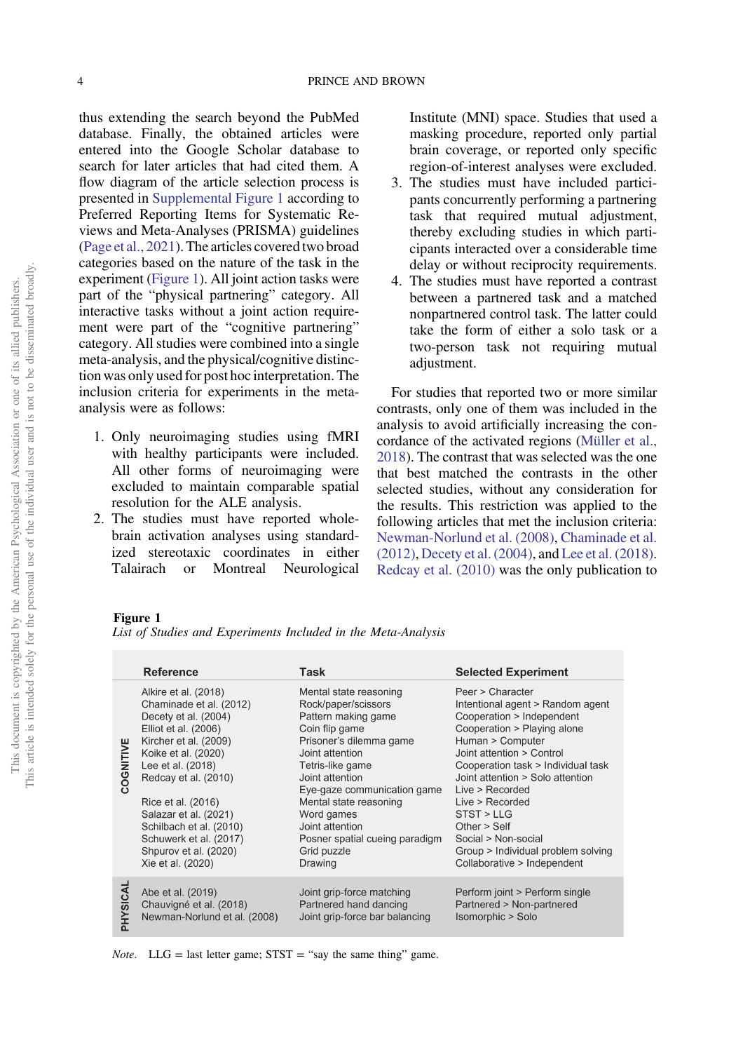<span id="page-3-0"></span>thus extending the search beyond the PubMed database. Finally, the obtained articles were entered into the Google Scholar database to search for later articles that had cited them. A flow diagram of the article selection process is presented in [Supplemental Figure 1](https://doi.org/10.1037/pne0000282.supp) according to Preferred Reporting Items for Systematic Reviews and Meta-Analyses (PRISMA) guidelines [\(Page et al., 2021](#page-10-0)). The articles covered two broad categories based on the nature of the task in the experiment (Figure 1). All joint action tasks were part of the "physical partnering" category. All interactive tasks without a joint action requirement were part of the "cognitive partnering" category. All studies were combined into a single meta-analysis, and the physical/cognitive distinction was only used for post hoc interpretation. The inclusion criteria for experiments in the metaanalysis were as follows:

- 1. Only neuroimaging studies using fMRI with healthy participants were included. All other forms of neuroimaging were excluded to maintain comparable spatial resolution for the ALE analysis.
- 2. The studies must have reported wholebrain activation analyses using standardized stereotaxic coordinates in either Talairach or Montreal Neurological

Institute (MNI) space. Studies that used a masking procedure, reported only partial brain coverage, or reported only specific region-of-interest analyses were excluded.

- 3. The studies must have included participants concurrently performing a partnering task that required mutual adjustment, thereby excluding studies in which participants interacted over a considerable time delay or without reciprocity requirements.
- 4. The studies must have reported a contrast between a partnered task and a matched nonpartnered control task. The latter could take the form of either a solo task or a two-person task not requiring mutual adjustment.

For studies that reported two or more similar contrasts, only one of them was included in the analysis to avoid artificially increasing the concordance of the activated regions ([Müller et al.,](#page-10-0) [2018](#page-10-0)). The contrast that was selected was the one that best matched the contrasts in the other selected studies, without any consideration for the results. This restriction was applied to the following articles that met the inclusion criteria: [Newman-Norlund et al. \(2008\),](#page-10-0) [Chaminade et al.](#page-9-0) [\(2012\)](#page-9-0), [Decety et al. \(2004\),](#page-9-0) and [Lee et al. \(2018\)](#page-10-0). [Redcay et al. \(2010\)](#page-11-0) was the only publication to

## Figure 1

|           | Reference                                                                                                                                                                                                                                                                                                                                      | Task                                                                                                                                                                                                                                                                                                                              | <b>Selected Experiment</b>                                                                                                                                                                                                                                                                                                                                                                                    |
|-----------|------------------------------------------------------------------------------------------------------------------------------------------------------------------------------------------------------------------------------------------------------------------------------------------------------------------------------------------------|-----------------------------------------------------------------------------------------------------------------------------------------------------------------------------------------------------------------------------------------------------------------------------------------------------------------------------------|---------------------------------------------------------------------------------------------------------------------------------------------------------------------------------------------------------------------------------------------------------------------------------------------------------------------------------------------------------------------------------------------------------------|
| COGNITIVE | Alkire et al. (2018)<br>Chaminade et al. (2012)<br>Decety et al. (2004)<br>Elliot et al. (2006)<br>Kircher et al. (2009)<br>Koike et al. (2020)<br>Lee et al. (2018)<br>Redcay et al. (2010)<br>Rice et al. (2016)<br>Salazar et al. (2021)<br>Schilbach et al. (2010)<br>Schuwerk et al. (2017)<br>Shpurov et al. (2020)<br>Xie et al. (2020) | Mental state reasoning<br>Rock/paper/scissors<br>Pattern making game<br>Coin flip game<br>Prisoner's dilemma game<br>Joint attention<br>Tetris-like game<br>Joint attention<br>Eye-gaze communication game<br>Mental state reasoning<br>Word games<br>Joint attention<br>Posner spatial cueing paradigm<br>Grid puzzle<br>Drawing | Peer > Character<br>Intentional agent > Random agent<br>Cooperation > Independent<br>Cooperation > Playing alone<br>Human > Computer<br>Joint attention > Control<br>Cooperation task > Individual task<br>Joint attention > Solo attention<br>Live > Recorded<br>Live > Recorded<br>STST > LLG<br>Other $>$ Self<br>Social > Non-social<br>Group > Individual problem solving<br>Collaborative > Independent |
| PHYSICAI  | Abe et al. (2019)<br>Chauvigné et al. (2018)<br>Newman-Norlund et al. (2008)                                                                                                                                                                                                                                                                   | Joint grip-force matching<br>Partnered hand dancing<br>Joint grip-force bar balancing                                                                                                                                                                                                                                             | Perform joint > Perform single<br>Partnered > Non-partnered<br>Isomorphic > Solo                                                                                                                                                                                                                                                                                                                              |

*Note.* LLG = last letter game;  $STST =$  "say the same thing" game.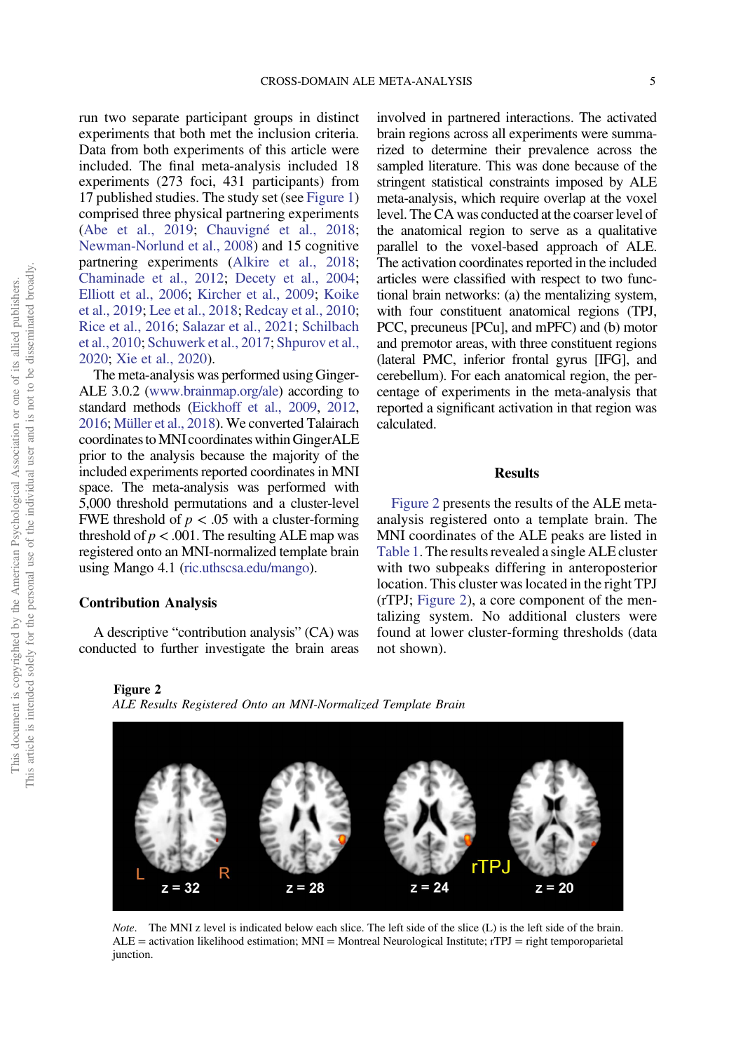run two separate participant groups in distinct experiments that both met the inclusion criteria. Data from both experiments of this article were included. The final meta-analysis included 18 experiments (273 foci, 431 participants) from 17 published studies. The study set (see [Figure 1\)](#page-3-0) comprised three physical partnering experiments [\(Abe et al., 2019](#page-8-0); [Chauvigné et al., 2018](#page-9-0); [Newman-Norlund et al., 2008](#page-10-0)) and 15 cognitive partnering experiments [\(Alkire et al., 2018](#page-8-0); [Chaminade et al., 2012](#page-9-0); [Decety et al., 2004](#page-9-0); [Elliott et al., 2006;](#page-9-0) [Kircher et al., 2009](#page-10-0); [Koike](#page-10-0) [et al., 2019;](#page-10-0) [Lee et al., 2018;](#page-10-0) [Redcay et al., 2010](#page-11-0); [Rice et al., 2016;](#page-11-0) [Salazar et al., 2021](#page-11-0); [Schilbach](#page-11-0) [et al., 2010;](#page-11-0) [Schuwerk et al., 2017](#page-11-0); [Shpurov et al.,](#page-11-0) [2020](#page-11-0); [Xie et al., 2020\)](#page-12-0).

The meta-analysis was performed using Ginger-ALE 3.0.2 [\(www.brainmap.org/ale\)](https://www.brainmap.org/ale) according to standard methods ([Eickhoff et al., 2009,](#page-9-0) [2012](#page-9-0), [2016](#page-9-0); [Müller et al., 2018](#page-10-0)). We converted Talairach coordinates toMNI coordinates within GingerALE prior to the analysis because the majority of the included experiments reported coordinates in MNI space. The meta-analysis was performed with 5,000 threshold permutations and a cluster-level FWE threshold of  $p < .05$  with a cluster-forming threshold of  $p < .001$ . The resulting ALE map was registered onto an MNI-normalized template brain using Mango 4.1 [\(ric.uthscsa.edu/mango\)](https://ric.uthscsa.edu/mango).

# Contribution Analysis

A descriptive "contribution analysis" (CA) was conducted to further investigate the brain areas

involved in partnered interactions. The activated brain regions across all experiments were summarized to determine their prevalence across the sampled literature. This was done because of the stringent statistical constraints imposed by ALE meta-analysis, which require overlap at the voxel level. The CA was conducted at the coarser level of the anatomical region to serve as a qualitative parallel to the voxel-based approach of ALE. The activation coordinates reported in the included articles were classified with respect to two functional brain networks: (a) the mentalizing system, with four constituent anatomical regions (TPJ, PCC, precuneus [PCu], and mPFC) and (b) motor and premotor areas, with three constituent regions (lateral PMC, inferior frontal gyrus [IFG], and cerebellum). For each anatomical region, the percentage of experiments in the meta-analysis that reported a significant activation in that region was calculated.

#### **Results**

Figure 2 presents the results of the ALE metaanalysis registered onto a template brain. The MNI coordinates of the ALE peaks are listed in [Table 1](#page-5-0). The results revealed a single ALE cluster with two subpeaks differing in anteroposterior location. This cluster was located in the right TPJ (rTPJ; Figure 2), a core component of the mentalizing system. No additional clusters were found at lower cluster-forming thresholds (data not shown).

Figure 2

ALE Results Registered Onto an MNI-Normalized Template Brain



Note. The MNI z level is indicated below each slice. The left side of the slice (L) is the left side of the brain.  $ALE = activation likelihood estimation; MNI = Montreal Neurological Institute; rTPJ = right temporal$ junction.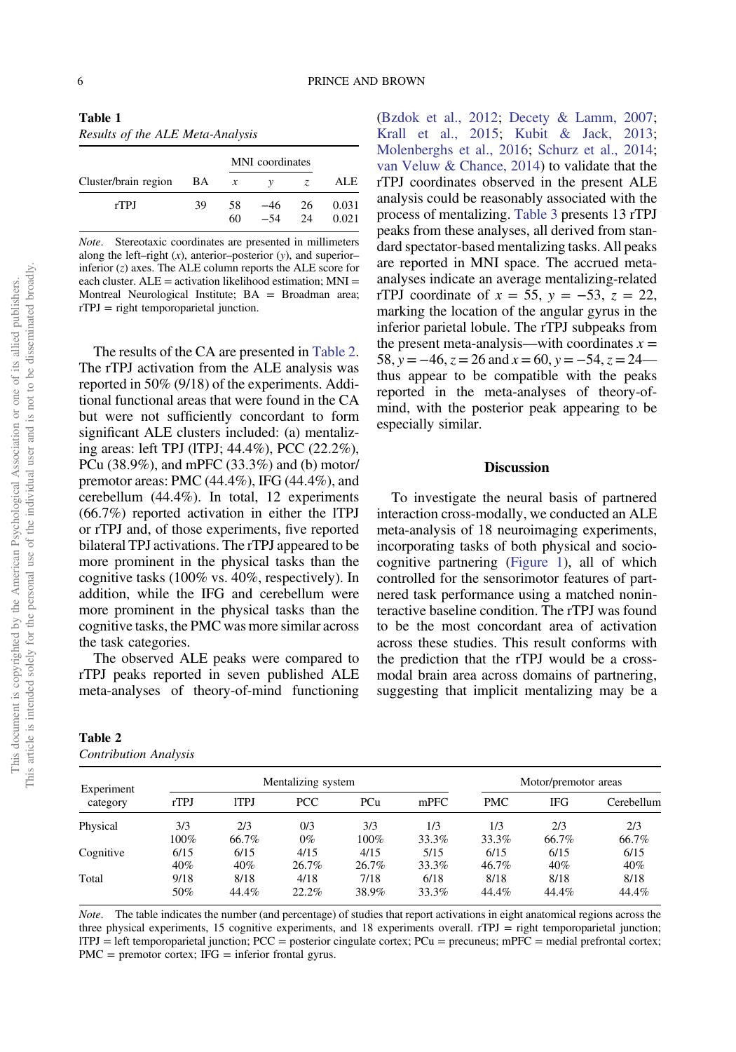<span id="page-5-0"></span>

| Table 1                          |
|----------------------------------|
| Results of the ALE Meta-Analysis |

|                      |    | MNI coordinates  |              |           |                |  |
|----------------------|----|------------------|--------------|-----------|----------------|--|
| Cluster/brain region | BA | $\boldsymbol{x}$ | $\mathbf{v}$ | Z.        | ALE.           |  |
| rTPJ                 | 39 | 58<br>60         | -46<br>$-54$ | -26<br>24 | 0.031<br>0.021 |  |

Note. Stereotaxic coordinates are presented in millimeters along the left–right  $(x)$ , anterior–posterior  $(y)$ , and superior– inferior  $(z)$  axes. The ALE column reports the ALE score for each cluster.  $ALE =$  activation likelihood estimation:  $MNI =$ Montreal Neurological Institute; BA = Broadman area;  $rTPJ = right$  temporoparietal junction.

The results of the CA are presented in Table 2. The rTPJ activation from the ALE analysis was reported in 50% (9/18) of the experiments. Additional functional areas that were found in the CA but were not sufficiently concordant to form significant ALE clusters included: (a) mentalizing areas: left TPJ (lTPJ; 44.4%), PCC (22.2%), PCu (38.9%), and mPFC (33.3%) and (b) motor/ premotor areas: PMC (44.4%), IFG (44.4%), and cerebellum (44.4%). In total, 12 experiments (66.7%) reported activation in either the lTPJ or rTPJ and, of those experiments, five reported bilateral TPJ activations. The rTPJ appeared to be more prominent in the physical tasks than the cognitive tasks (100% vs. 40%, respectively). In addition, while the IFG and cerebellum were more prominent in the physical tasks than the cognitive tasks, the PMC was more similar across the task categories.

The observed ALE peaks were compared to rTPJ peaks reported in seven published ALE meta-analyses of theory-of-mind functioning

| Table 2                      |  |
|------------------------------|--|
| <b>Contribution Analysis</b> |  |

[\(Bzdok et al., 2012](#page-9-0); [Decety & Lamm, 2007](#page-9-0); [Krall et al., 2015;](#page-10-0) [Kubit & Jack, 2013](#page-10-0); [Molenberghs et al., 2016;](#page-10-0) [Schurz et al., 2014](#page-11-0); [van Veluw & Chance, 2014\)](#page-11-0) to validate that the rTPJ coordinates observed in the present ALE analysis could be reasonably associated with the process of mentalizing. [Table 3](#page-6-0) presents 13 rTPJ peaks from these analyses, all derived from standard spectator-based mentalizing tasks. All peaks are reported in MNI space. The accrued metaanalyses indicate an average mentalizing-related rTPJ coordinate of  $x = 55$ ,  $y = -53$ ,  $z = 22$ , marking the location of the angular gyrus in the inferior parietal lobule. The rTPJ subpeaks from the present meta-analysis—with coordinates  $x =$ 58, y =  $-46$ , z = 26 and x = 60, y =  $-54$ , z = 24 thus appear to be compatible with the peaks reported in the meta-analyses of theory-ofmind, with the posterior peak appearing to be especially similar.

# **Discussion**

To investigate the neural basis of partnered interaction cross-modally, we conducted an ALE meta-analysis of 18 neuroimaging experiments, incorporating tasks of both physical and sociocognitive partnering ([Figure 1\)](#page-3-0), all of which controlled for the sensorimotor features of partnered task performance using a matched noninteractive baseline condition. The rTPJ was found to be the most concordant area of activation across these studies. This result conforms with the prediction that the rTPJ would be a crossmodal brain area across domains of partnering, suggesting that implicit mentalizing may be a

| Experiment | Mentalizing system |             |       |       | Motor/premotor areas |            |            |            |
|------------|--------------------|-------------|-------|-------|----------------------|------------|------------|------------|
| category   | rTPJ               | <b>ITPJ</b> | PCC.  | PCu   | mPFC                 | <b>PMC</b> | <b>IFG</b> | Cerebellum |
| Physical   | 3/3                | 2/3         | 0/3   | 3/3   | 1/3                  | 1/3        | 2/3        | 2/3        |
|            | 100%               | 66.7%       | $0\%$ | 100%  | 33.3%                | 33.3%      | 66.7%      | 66.7%      |
| Cognitive  | 6/15               | 6/15        | 4/15  | 4/15  | 5/15                 | 6/15       | 6/15       | 6/15       |
|            | 40%                | 40%         | 26.7% | 26.7% | 33.3%                | 46.7%      | 40%        | 40%        |
| Total      | 9/18               | 8/18        | 4/18  | 7/18  | 6/18                 | 8/18       | 8/18       | 8/18       |
|            | 50%                | 44.4%       | 22.2% | 38.9% | 33.3%                | 44.4%      | 44.4%      | 44.4%      |

Note. The table indicates the number (and percentage) of studies that report activations in eight anatomical regions across the three physical experiments, 15 cognitive experiments, and 18 experiments overall. rTPJ = right temporoparietal junction;  $ITPI = left temporalized junction; PCC = posterior cingulate cortex; PCu = precuneus; mPFC = medial prefrontal cortex;$  $PMC =$  premotor cortex; IFG  $=$  inferior frontal gyrus.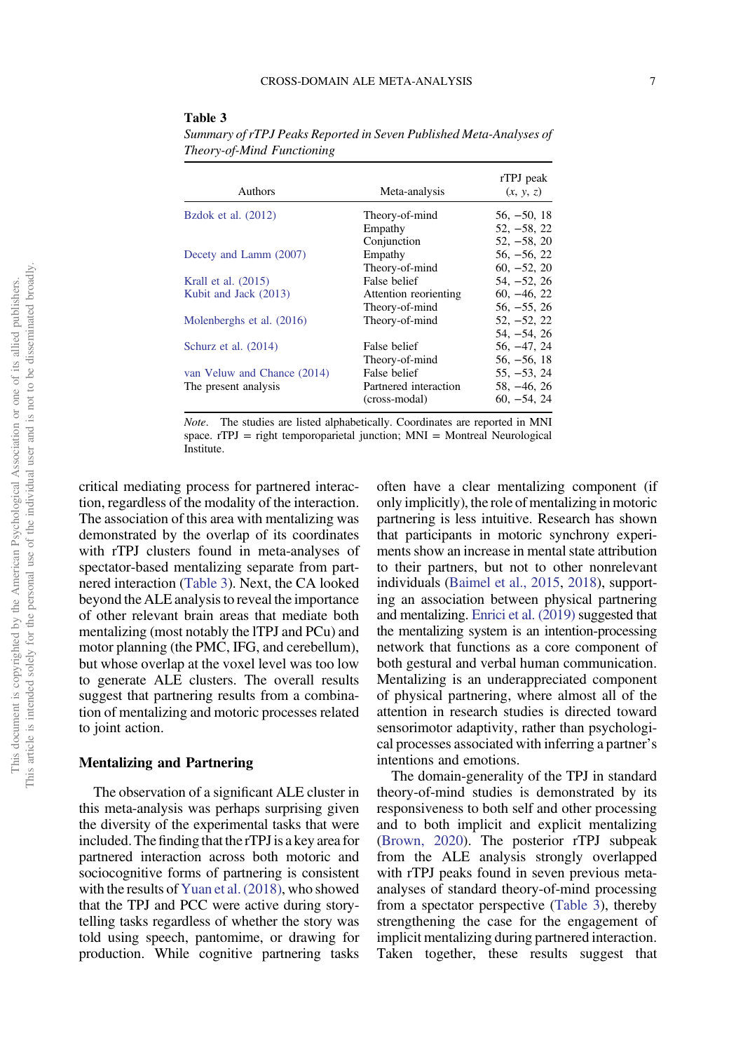#### <span id="page-6-0"></span>Table 3

Summary of rTPJ Peaks Reported in Seven Published Meta-Analyses of Theory-of-Mind Functioning

| Authors                     | Meta-analysis         | rTPJ peak<br>(x, y, z) |
|-----------------------------|-----------------------|------------------------|
| Bzdok et al. (2012)         | Theory-of-mind        | $56, -50, 18$          |
|                             | Empathy               | $52, -58, 22$          |
|                             | Conjunction           | $52, -58, 20$          |
| Decety and Lamm (2007)      | Empathy               | $56, -56, 22$          |
|                             | Theory-of-mind        | $60, -52, 20$          |
| Krall et al. (2015)         | False belief          | $54, -52, 26$          |
| Kubit and Jack (2013)       | Attention reorienting | $60, -46, 22$          |
|                             | Theory-of-mind        | $56, -55, 26$          |
| Molenberghs et al. (2016)   | Theory-of-mind        | $52, -52, 22$          |
|                             |                       | $54, -54, 26$          |
| Schurz et al. (2014)        | False belief          | $56, -47, 24$          |
|                             | Theory-of-mind        | $56, -56, 18$          |
| van Veluw and Chance (2014) | False belief          | $55, -53, 24$          |
| The present analysis        | Partnered interaction | $58, -46, 26$          |
|                             | (cross-modal)         | $60, -54, 24$          |

Note. The studies are listed alphabetically. Coordinates are reported in MNI space. rTPJ = right temporoparietal junction; MNI = Montreal Neurological Institute.

critical mediating process for partnered interaction, regardless of the modality of the interaction. The association of this area with mentalizing was demonstrated by the overlap of its coordinates with rTPJ clusters found in meta-analyses of spectator-based mentalizing separate from partnered interaction (Table 3). Next, the CA looked beyond the ALE analysis to reveal the importance of other relevant brain areas that mediate both mentalizing (most notably the lTPJ and PCu) and motor planning (the PMC, IFG, and cerebellum), but whose overlap at the voxel level was too low to generate ALE clusters. The overall results suggest that partnering results from a combination of mentalizing and motoric processes related to joint action.

# Mentalizing and Partnering

The observation of a significant ALE cluster in this meta-analysis was perhaps surprising given the diversity of the experimental tasks that were included. The finding that the rTPJ is a key area for partnered interaction across both motoric and sociocognitive forms of partnering is consistent with the results of [Yuan et al. \(2018\),](#page-12-0) who showed that the TPJ and PCC were active during storytelling tasks regardless of whether the story was told using speech, pantomime, or drawing for production. While cognitive partnering tasks

often have a clear mentalizing component (if only implicitly), the role of mentalizing in motoric partnering is less intuitive. Research has shown that participants in motoric synchrony experiments show an increase in mental state attribution to their partners, but not to other nonrelevant individuals ([Baimel et al., 2015](#page-9-0), [2018\)](#page-9-0), supporting an association between physical partnering and mentalizing. [Enrici et al. \(2019\)](#page-9-0) suggested that the mentalizing system is an intention-processing network that functions as a core component of both gestural and verbal human communication. Mentalizing is an underappreciated component of physical partnering, where almost all of the attention in research studies is directed toward sensorimotor adaptivity, rather than psychological processes associated with inferring a partner's intentions and emotions.

The domain-generality of the TPJ in standard theory-of-mind studies is demonstrated by its responsiveness to both self and other processing and to both implicit and explicit mentalizing [\(Brown, 2020](#page-9-0)). The posterior rTPJ subpeak from the ALE analysis strongly overlapped with rTPJ peaks found in seven previous metaanalyses of standard theory-of-mind processing from a spectator perspective (Table 3), thereby strengthening the case for the engagement of implicit mentalizing during partnered interaction. Taken together, these results suggest that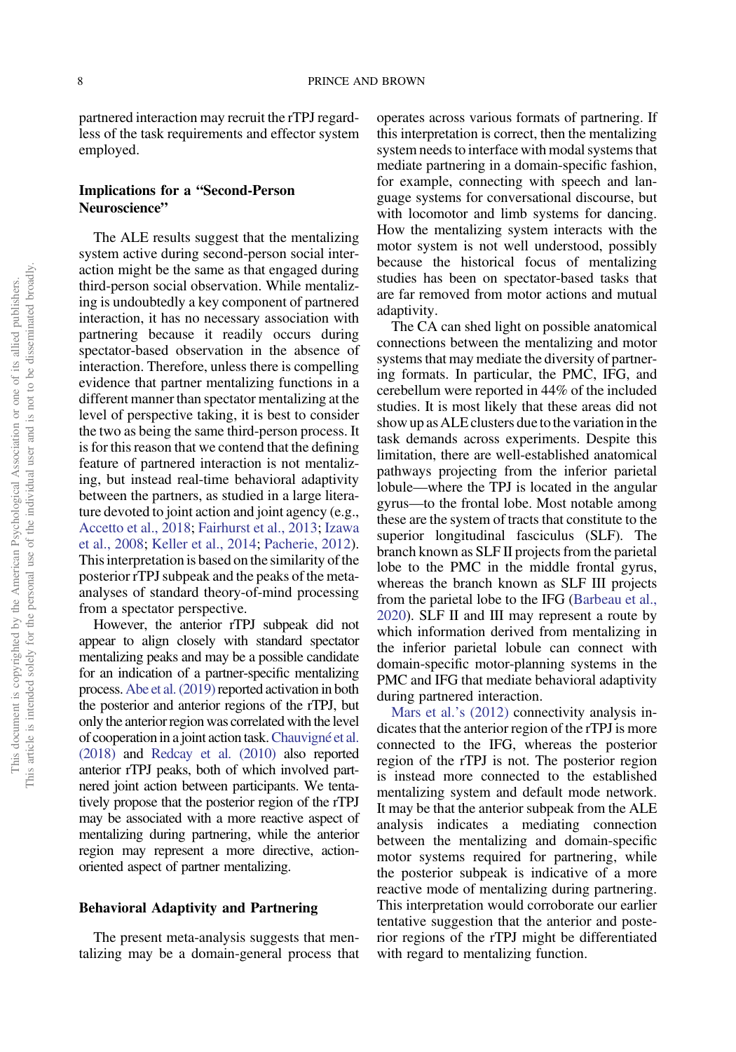partnered interaction may recruit the rTPJ regardless of the task requirements and effector system employed.

# Implications for a "Second-Person Neuroscience"

The ALE results suggest that the mentalizing system active during second-person social interaction might be the same as that engaged during third-person social observation. While mentalizing is undoubtedly a key component of partnered interaction, it has no necessary association with partnering because it readily occurs during spectator-based observation in the absence of interaction. Therefore, unless there is compelling evidence that partner mentalizing functions in a different manner than spectator mentalizing at the level of perspective taking, it is best to consider the two as being the same third-person process. It is for this reason that we contend that the defining feature of partnered interaction is not mentalizing, but instead real-time behavioral adaptivity between the partners, as studied in a large literature devoted to joint action and joint agency (e.g., [Accetto et al., 2018;](#page-8-0) [Fairhurst et al., 2013](#page-9-0); [Izawa](#page-9-0) [et al., 2008;](#page-9-0) [Keller et al., 2014;](#page-9-0) [Pacherie, 2012](#page-10-0)). This interpretation is based on the similarity of the posterior rTPJ subpeak and the peaks of the metaanalyses of standard theory-of-mind processing from a spectator perspective.

However, the anterior rTPJ subpeak did not appear to align closely with standard spectator mentalizing peaks and may be a possible candidate for an indication of a partner-specific mentalizing process. [Abe et al. \(2019\)](#page-8-0) reported activation in both the posterior and anterior regions of the rTPJ, but only the anterior region was correlated with the level of cooperation in a joint action task.[Chauvigné et al.](#page-9-0) [\(2018\)](#page-9-0) and [Redcay et al. \(2010\)](#page-11-0) also reported anterior rTPJ peaks, both of which involved partnered joint action between participants. We tentatively propose that the posterior region of the rTPJ may be associated with a more reactive aspect of mentalizing during partnering, while the anterior region may represent a more directive, actionoriented aspect of partner mentalizing.

# Behavioral Adaptivity and Partnering

The present meta-analysis suggests that mentalizing may be a domain-general process that operates across various formats of partnering. If this interpretation is correct, then the mentalizing system needs to interface with modal systems that mediate partnering in a domain-specific fashion, for example, connecting with speech and language systems for conversational discourse, but with locomotor and limb systems for dancing. How the mentalizing system interacts with the motor system is not well understood, possibly because the historical focus of mentalizing studies has been on spectator-based tasks that are far removed from motor actions and mutual adaptivity.

The CA can shed light on possible anatomical connections between the mentalizing and motor systems that may mediate the diversity of partnering formats. In particular, the PMC, IFG, and cerebellum were reported in 44% of the included studies. It is most likely that these areas did not show up as ALE clusters due to the variation in the task demands across experiments. Despite this limitation, there are well-established anatomical pathways projecting from the inferior parietal lobule—where the TPJ is located in the angular gyrus—to the frontal lobe. Most notable among these are the system of tracts that constitute to the superior longitudinal fasciculus (SLF). The branch known as SLF II projects from the parietal lobe to the PMC in the middle frontal gyrus, whereas the branch known as SLF III projects from the parietal lobe to the IFG ([Barbeau et al.,](#page-9-0) [2020](#page-9-0)). SLF II and III may represent a route by which information derived from mentalizing in the inferior parietal lobule can connect with domain-specific motor-planning systems in the PMC and IFG that mediate behavioral adaptivity during partnered interaction.

[Mars et al.](#page-10-0)'s (2012) connectivity analysis indicates that the anterior region of the rTPJ is more connected to the IFG, whereas the posterior region of the rTPJ is not. The posterior region is instead more connected to the established mentalizing system and default mode network. It may be that the anterior subpeak from the ALE analysis indicates a mediating connection between the mentalizing and domain-specific motor systems required for partnering, while the posterior subpeak is indicative of a more reactive mode of mentalizing during partnering. This interpretation would corroborate our earlier tentative suggestion that the anterior and posterior regions of the rTPJ might be differentiated with regard to mentalizing function.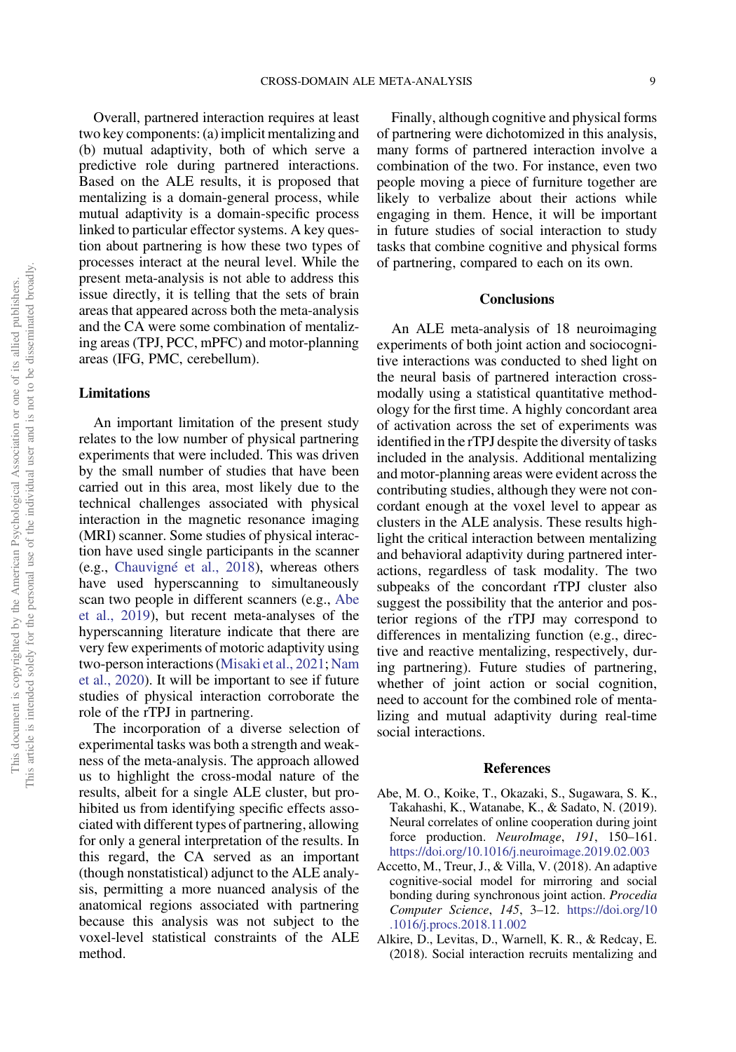<span id="page-8-0"></span>Overall, partnered interaction requires at least two key components: (a) implicit mentalizing and (b) mutual adaptivity, both of which serve a predictive role during partnered interactions. Based on the ALE results, it is proposed that mentalizing is a domain-general process, while mutual adaptivity is a domain-specific process linked to particular effector systems. A key question about partnering is how these two types of processes interact at the neural level. While the present meta-analysis is not able to address this issue directly, it is telling that the sets of brain areas that appeared across both the meta-analysis and the CA were some combination of mentalizing areas (TPJ, PCC, mPFC) and motor-planning areas (IFG, PMC, cerebellum).

# Limitations

An important limitation of the present study relates to the low number of physical partnering experiments that were included. This was driven by the small number of studies that have been carried out in this area, most likely due to the technical challenges associated with physical interaction in the magnetic resonance imaging (MRI) scanner. Some studies of physical interaction have used single participants in the scanner (e.g., [Chauvigné et al., 2018\)](#page-9-0), whereas others have used hyperscanning to simultaneously scan two people in different scanners (e.g., Abe et al., 2019), but recent meta-analyses of the hyperscanning literature indicate that there are very few experiments of motoric adaptivity using two-person interactions [\(Misaki et al., 2021](#page-10-0); [Nam](#page-10-0) [et al., 2020\)](#page-10-0). It will be important to see if future studies of physical interaction corroborate the role of the rTPJ in partnering.

The incorporation of a diverse selection of experimental tasks was both a strength and weakness of the meta-analysis. The approach allowed us to highlight the cross-modal nature of the results, albeit for a single ALE cluster, but prohibited us from identifying specific effects associated with different types of partnering, allowing for only a general interpretation of the results. In this regard, the CA served as an important (though nonstatistical) adjunct to the ALE analysis, permitting a more nuanced analysis of the anatomical regions associated with partnering because this analysis was not subject to the voxel-level statistical constraints of the ALE method.

Finally, although cognitive and physical forms of partnering were dichotomized in this analysis, many forms of partnered interaction involve a combination of the two. For instance, even two people moving a piece of furniture together are likely to verbalize about their actions while engaging in them. Hence, it will be important in future studies of social interaction to study tasks that combine cognitive and physical forms of partnering, compared to each on its own.

# **Conclusions**

An ALE meta-analysis of 18 neuroimaging experiments of both joint action and sociocognitive interactions was conducted to shed light on the neural basis of partnered interaction crossmodally using a statistical quantitative methodology for the first time. A highly concordant area of activation across the set of experiments was identified in the rTPJ despite the diversity of tasks included in the analysis. Additional mentalizing and motor-planning areas were evident across the contributing studies, although they were not concordant enough at the voxel level to appear as clusters in the ALE analysis. These results highlight the critical interaction between mentalizing and behavioral adaptivity during partnered interactions, regardless of task modality. The two subpeaks of the concordant rTPJ cluster also suggest the possibility that the anterior and posterior regions of the rTPJ may correspond to differences in mentalizing function (e.g., directive and reactive mentalizing, respectively, during partnering). Future studies of partnering, whether of joint action or social cognition, need to account for the combined role of mentalizing and mutual adaptivity during real-time social interactions.

# References

- Abe, M. O., Koike, T., Okazaki, S., Sugawara, S. K., Takahashi, K., Watanabe, K., & Sadato, N. (2019). Neural correlates of online cooperation during joint force production. *NeuroImage*, 191, 150–161. <https://doi.org/10.1016/j.neuroimage.2019.02.003>
- Accetto, M., Treur, J., & Villa, V. (2018). An adaptive cognitive-social model for mirroring and social bonding during synchronous joint action. Procedia Computer Science, 145, 3–12. [https://doi.org/10](https://doi.org/10.1016/j.procs.2018.11.002) [.1016/j.procs.2018.11.002](https://doi.org/10.1016/j.procs.2018.11.002)
- Alkire, D., Levitas, D., Warnell, K. R., & Redcay, E. (2018). Social interaction recruits mentalizing and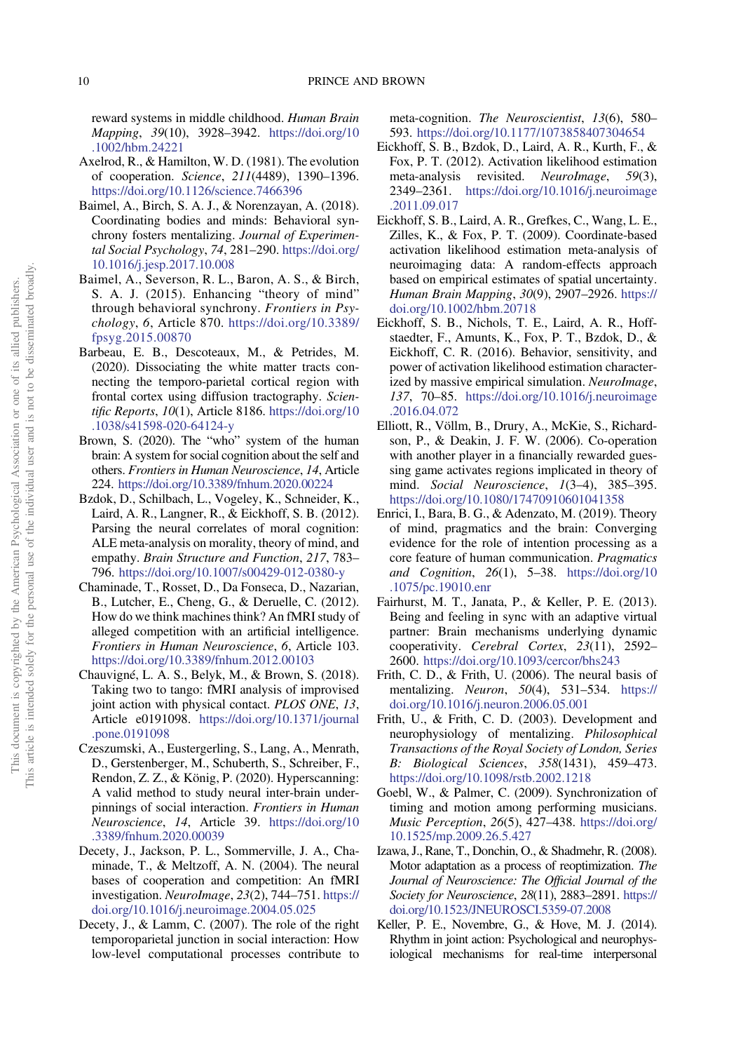<span id="page-9-0"></span>reward systems in middle childhood. Human Brain Mapping, 39(10), 3928–3942. [https://doi.org/10](https://doi.org/10.1002/hbm.24221) [.1002/hbm.24221](https://doi.org/10.1002/hbm.24221)

- Axelrod, R., & Hamilton, W. D. (1981). The evolution of cooperation. Science, 211(4489), 1390–1396. <https://doi.org/10.1126/science.7466396>
- Baimel, A., Birch, S. A. J., & Norenzayan, A. (2018). Coordinating bodies and minds: Behavioral synchrony fosters mentalizing. Journal of Experimental Social Psychology, 74, 281–290. [https://doi.org/](https://doi.org/10.1016/j.jesp.2017.10.008) [10.1016/j.jesp.2017.10.008](https://doi.org/10.1016/j.jesp.2017.10.008)
- Baimel, A., Severson, R. L., Baron, A. S., & Birch, S. A. J. (2015). Enhancing "theory of mind" through behavioral synchrony. Frontiers in Psychology, 6, Article 870. [https://doi.org/10.3389/](https://doi.org/10.3389/fpsyg.2015.00870) [fpsyg.2015.00870](https://doi.org/10.3389/fpsyg.2015.00870)
- Barbeau, E. B., Descoteaux, M., & Petrides, M. (2020). Dissociating the white matter tracts connecting the temporo-parietal cortical region with frontal cortex using diffusion tractography. Scientific Reports, 10(1), Article 8186. [https://doi.org/10](https://doi.org/10.1038/s41598-020-64124-y) [.1038/s41598-020-64124-y](https://doi.org/10.1038/s41598-020-64124-y)
- Brown, S. (2020). The "who" system of the human brain: A system for social cognition about the self and others. Frontiers in Human Neuroscience, 14, Article 224. <https://doi.org/10.3389/fnhum.2020.00224>
- Bzdok, D., Schilbach, L., Vogeley, K., Schneider, K., Laird, A. R., Langner, R., & Eickhoff, S. B. (2012). Parsing the neural correlates of moral cognition: ALE meta-analysis on morality, theory of mind, and empathy. Brain Structure and Function, 217, 783– 796. <https://doi.org/10.1007/s00429-012-0380-y>
- Chaminade, T., Rosset, D., Da Fonseca, D., Nazarian, B., Lutcher, E., Cheng, G., & Deruelle, C. (2012). How do we think machines think? An fMRI study of alleged competition with an artificial intelligence. Frontiers in Human Neuroscience, 6, Article 103. <https://doi.org/10.3389/fnhum.2012.00103>
- Chauvigné, L. A. S., Belyk, M., & Brown, S. (2018). Taking two to tango: fMRI analysis of improvised joint action with physical contact. PLOS ONE, 13, Article e0191098. [https://doi.org/10.1371/journal](https://doi.org/10.1371/journal.pone.0191098) [.pone.0191098](https://doi.org/10.1371/journal.pone.0191098)
- Czeszumski, A., Eustergerling, S., Lang, A., Menrath, D., Gerstenberger, M., Schuberth, S., Schreiber, F., Rendon, Z. Z., & König, P. (2020). Hyperscanning: A valid method to study neural inter-brain underpinnings of social interaction. Frontiers in Human Neuroscience, 14, Article 39. [https://doi.org/10](https://doi.org/10.3389/fnhum.2020.00039) [.3389/fnhum.2020.00039](https://doi.org/10.3389/fnhum.2020.00039)
- Decety, J., Jackson, P. L., Sommerville, J. A., Chaminade, T., & Meltzoff, A. N. (2004). The neural bases of cooperation and competition: An fMRI investigation. NeuroImage, 23(2), 744–751. [https://](https://doi.org/10.1016/j.neuroimage.2004.05.025) [doi.org/10.1016/j.neuroimage.2004.05.025](https://doi.org/10.1016/j.neuroimage.2004.05.025)
- Decety, J., & Lamm, C. (2007). The role of the right temporoparietal junction in social interaction: How low-level computational processes contribute to

meta-cognition. The Neuroscientist, 13(6), 580– 593. <https://doi.org/10.1177/1073858407304654>

- Eickhoff, S. B., Bzdok, D., Laird, A. R., Kurth, F., & Fox, P. T. (2012). Activation likelihood estimation meta-analysis revisited. NeuroImage, 59(3), 2349–2361. [https://doi.org/10.1016/j.neuroimage](https://doi.org/10.1016/j.neuroimage.2011.09.017) [.2011.09.017](https://doi.org/10.1016/j.neuroimage.2011.09.017)
- Eickhoff, S. B., Laird, A. R., Grefkes, C., Wang, L. E., Zilles, K., & Fox, P. T. (2009). Coordinate-based activation likelihood estimation meta-analysis of neuroimaging data: A random-effects approach based on empirical estimates of spatial uncertainty. Human Brain Mapping, 30(9), 2907–2926. [https://](https://doi.org/10.1002/hbm.20718) [doi.org/10.1002/hbm.20718](https://doi.org/10.1002/hbm.20718)
- Eickhoff, S. B., Nichols, T. E., Laird, A. R., Hoffstaedter, F., Amunts, K., Fox, P. T., Bzdok, D., & Eickhoff, C. R. (2016). Behavior, sensitivity, and power of activation likelihood estimation characterized by massive empirical simulation. NeuroImage, 137, 70–85. [https://doi.org/10.1016/j.neuroimage](https://doi.org/10.1016/j.neuroimage.2016.04.072) [.2016.04.072](https://doi.org/10.1016/j.neuroimage.2016.04.072)
- Elliott, R., Völlm, B., Drury, A., McKie, S., Richardson, P., & Deakin, J. F. W. (2006). Co-operation with another player in a financially rewarded guessing game activates regions implicated in theory of mind. Social Neuroscience, 1(3-4), 385-395. <https://doi.org/10.1080/17470910601041358>
- Enrici, I., Bara, B. G., & Adenzato, M. (2019). Theory of mind, pragmatics and the brain: Converging evidence for the role of intention processing as a core feature of human communication. Pragmatics and Cognition, 26(1), 5–38. [https://doi.org/10](https://doi.org/10.1075/pc.19010.enr) [.1075/pc.19010.enr](https://doi.org/10.1075/pc.19010.enr)
- Fairhurst, M. T., Janata, P., & Keller, P. E. (2013). Being and feeling in sync with an adaptive virtual partner: Brain mechanisms underlying dynamic cooperativity. Cerebral Cortex, 23(11), 2592-2600. <https://doi.org/10.1093/cercor/bhs243>
- Frith, C. D., & Frith, U. (2006). The neural basis of mentalizing. Neuron, 50(4), 531–534. [https://](https://doi.org/10.1016/j.neuron.2006.05.001) [doi.org/10.1016/j.neuron.2006.05.001](https://doi.org/10.1016/j.neuron.2006.05.001)
- Frith, U., & Frith, C. D. (2003). Development and neurophysiology of mentalizing. Philosophical Transactions of the Royal Society of London, Series B: Biological Sciences, 358(1431), 459–473. <https://doi.org/10.1098/rstb.2002.1218>
- Goebl, W., & Palmer, C. (2009). Synchronization of timing and motion among performing musicians. Music Perception, 26(5), 427–438. [https://doi.org/](https://doi.org/10.1525/mp.2009.26.5.427) [10.1525/mp.2009.26.5.427](https://doi.org/10.1525/mp.2009.26.5.427)
- Izawa, J., Rane, T., Donchin, O., & Shadmehr, R. (2008). Motor adaptation as a process of reoptimization. The Journal of Neuroscience: The Official Journal of the Society for Neuroscience, 28(11), 2883-2891. [https://](https://doi.org/10.1523/JNEUROSCI.5359-07.2008) [doi.org/10.1523/JNEUROSCI.5359-07.2008](https://doi.org/10.1523/JNEUROSCI.5359-07.2008)
- Keller, P. E., Novembre, G., & Hove, M. J. (2014). Rhythm in joint action: Psychological and neurophysiological mechanisms for real-time interpersonal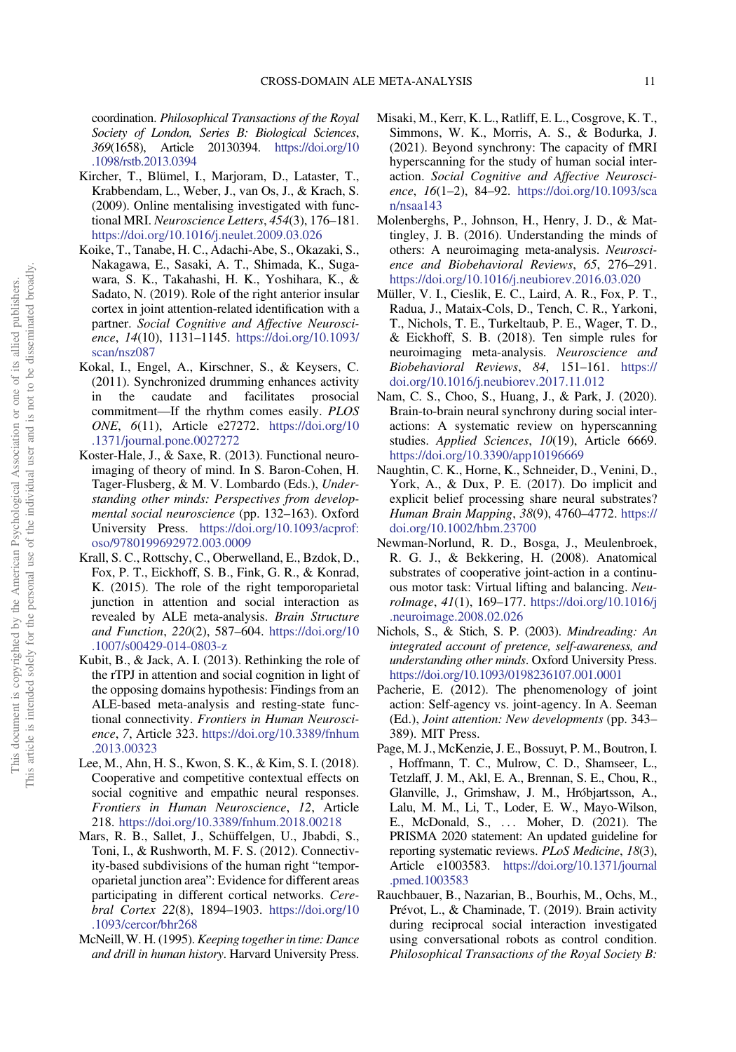<span id="page-10-0"></span>coordination. Philosophical Transactions of the Royal Society of London, Series B: Biological Sciences, 369(1658), Article 20130394. [https://doi.org/10](https://doi.org/10.1098/rstb.2013.0394) [.1098/rstb.2013.0394](https://doi.org/10.1098/rstb.2013.0394)

- Kircher, T., Blümel, I., Marjoram, D., Lataster, T., Krabbendam, L., Weber, J., van Os, J., & Krach, S. (2009). Online mentalising investigated with functional MRI. Neuroscience Letters, 454(3), 176–181. <https://doi.org/10.1016/j.neulet.2009.03.026>
- Koike, T., Tanabe, H. C., Adachi-Abe, S., Okazaki, S., Nakagawa, E., Sasaki, A. T., Shimada, K., Sugawara, S. K., Takahashi, H. K., Yoshihara, K., & Sadato, N. (2019). Role of the right anterior insular cortex in joint attention-related identification with a partner. Social Cognitive and Affective Neuroscience, 14(10), 1131–1145. [https://doi.org/10.1093/](https://doi.org/10.1093/scan/nsz087) [scan/nsz087](https://doi.org/10.1093/scan/nsz087)
- Kokal, I., Engel, A., Kirschner, S., & Keysers, C. (2011). Synchronized drumming enhances activity in the caudate and facilitates prosocial commitment—If the rhythm comes easily. PLOS ONE, 6(11), Article e27272. [https://doi.org/10](https://doi.org/10.1371/journal.pone.0027272) [.1371/journal.pone.0027272](https://doi.org/10.1371/journal.pone.0027272)
- Koster-Hale, J., & Saxe, R. (2013). Functional neuroimaging of theory of mind. In S. Baron-Cohen, H. Tager-Flusberg, & M. V. Lombardo (Eds.), Understanding other minds: Perspectives from developmental social neuroscience (pp. 132–163). Oxford University Press. [https://doi.org/10.1093/acprof:](https://doi.org/10.1093/acprof:oso/9780199692972.003.0009) [oso/9780199692972.003.0009](https://doi.org/10.1093/acprof:oso/9780199692972.003.0009)
- Krall, S. C., Rottschy, C., Oberwelland, E., Bzdok, D., Fox, P. T., Eickhoff, S. B., Fink, G. R., & Konrad, K. (2015). The role of the right temporoparietal junction in attention and social interaction as revealed by ALE meta-analysis. Brain Structure and Function, 220(2), 587–604. [https://doi.org/10](https://doi.org/10.1007/s00429-014-0803-z) [.1007/s00429-014-0803-z](https://doi.org/10.1007/s00429-014-0803-z)
- Kubit, B., & Jack, A. I. (2013). Rethinking the role of the rTPJ in attention and social cognition in light of the opposing domains hypothesis: Findings from an ALE-based meta-analysis and resting-state functional connectivity. Frontiers in Human Neuroscience, 7, Article 323. [https://doi.org/10.3389/fnhum](https://doi.org/10.3389/fnhum.2013.00323) [.2013.00323](https://doi.org/10.3389/fnhum.2013.00323)
- Lee, M., Ahn, H. S., Kwon, S. K., & Kim, S. I. (2018). Cooperative and competitive contextual effects on social cognitive and empathic neural responses. Frontiers in Human Neuroscience, 12, Article 218. <https://doi.org/10.3389/fnhum.2018.00218>
- Mars, R. B., Sallet, J., Schüffelgen, U., Jbabdi, S., Toni, I., & Rushworth, M. F. S. (2012). Connectivity-based subdivisions of the human right "temporoparietal junction area": Evidence for different areas participating in different cortical networks. Cerebral Cortex 22(8), 1894–1903. [https://doi.org/10](https://doi.org/10.1093/cercor/bhr268) [.1093/cercor/bhr268](https://doi.org/10.1093/cercor/bhr268)
- McNeill,W. H. (1995). Keeping together in time: Dance and drill in human history. Harvard University Press.
- Misaki, M., Kerr, K. L., Ratliff, E. L., Cosgrove, K. T., Simmons, W. K., Morris, A. S., & Bodurka, J. (2021). Beyond synchrony: The capacity of fMRI hyperscanning for the study of human social interaction. Social Cognitive and Affective Neuroscience, 16(1-2), 84-92. [https://doi.org/10.1093/sca](https://doi.org/10.1093/scan/nsaa143) [n/nsaa143](https://doi.org/10.1093/scan/nsaa143)
- Molenberghs, P., Johnson, H., Henry, J. D., & Mattingley, J. B. (2016). Understanding the minds of others: A neuroimaging meta-analysis. Neuroscience and Biobehavioral Reviews, 65, 276–291. <https://doi.org/10.1016/j.neubiorev.2016.03.020>
- Müller, V. I., Cieslik, E. C., Laird, A. R., Fox, P. T., Radua, J., Mataix-Cols, D., Tench, C. R., Yarkoni, T., Nichols, T. E., Turkeltaub, P. E., Wager, T. D., & Eickhoff, S. B. (2018). Ten simple rules for neuroimaging meta-analysis. Neuroscience and Biobehavioral Reviews, 84, 151–161. [https://](https://doi.org/10.1016/j.neubiorev.2017.11.012) [doi.org/10.1016/j.neubiorev.2017.11.012](https://doi.org/10.1016/j.neubiorev.2017.11.012)
- Nam, C. S., Choo, S., Huang, J., & Park, J. (2020). Brain-to-brain neural synchrony during social interactions: A systematic review on hyperscanning studies. Applied Sciences, 10(19), Article 6669. <https://doi.org/10.3390/app10196669>
- Naughtin, C. K., Horne, K., Schneider, D., Venini, D., York, A., & Dux, P. E. (2017). Do implicit and explicit belief processing share neural substrates? Human Brain Mapping, 38(9), 4760–4772. [https://](https://doi.org/10.1002/hbm.23700) [doi.org/10.1002/hbm.23700](https://doi.org/10.1002/hbm.23700)
- Newman-Norlund, R. D., Bosga, J., Meulenbroek, R. G. J., & Bekkering, H. (2008). Anatomical substrates of cooperative joint-action in a continuous motor task: Virtual lifting and balancing. NeuroImage, 41(1), 169–177. [https://doi.org/10.1016/j](https://doi.org/10.1016/j.neuroimage.2008.02.026) [.neuroimage.2008.02.026](https://doi.org/10.1016/j.neuroimage.2008.02.026)
- Nichols, S., & Stich, S. P. (2003). Mindreading: An integrated account of pretence, self-awareness, and understanding other minds. Oxford University Press. <https://doi.org/10.1093/0198236107.001.0001>
- Pacherie, E. (2012). The phenomenology of joint action: Self-agency vs. joint-agency. In A. Seeman (Ed.), Joint attention: New developments (pp. 343– 389). MIT Press.
- Page, M. J., McKenzie, J. E., Bossuyt, P. M., Boutron, I. , Hoffmann, T. C., Mulrow, C. D., Shamseer, L., Tetzlaff, J. M., Akl, E. A., Brennan, S. E., Chou, R., Glanville, J., Grimshaw, J. M., Hróbjartsson, A., Lalu, M. M., Li, T., Loder, E. W., Mayo-Wilson, E., McDonald, S., ::: Moher, D. (2021). The PRISMA 2020 statement: An updated guideline for reporting systematic reviews. PLoS Medicine, 18(3), Article e1003583. [https://doi.org/10.1371/journal](https://doi.org/10.1371/journal.pmed.1003583) [.pmed.1003583](https://doi.org/10.1371/journal.pmed.1003583)
- Rauchbauer, B., Nazarian, B., Bourhis, M., Ochs, M., Prévot, L., & Chaminade, T. (2019). Brain activity during reciprocal social interaction investigated using conversational robots as control condition. Philosophical Transactions of the Royal Society B: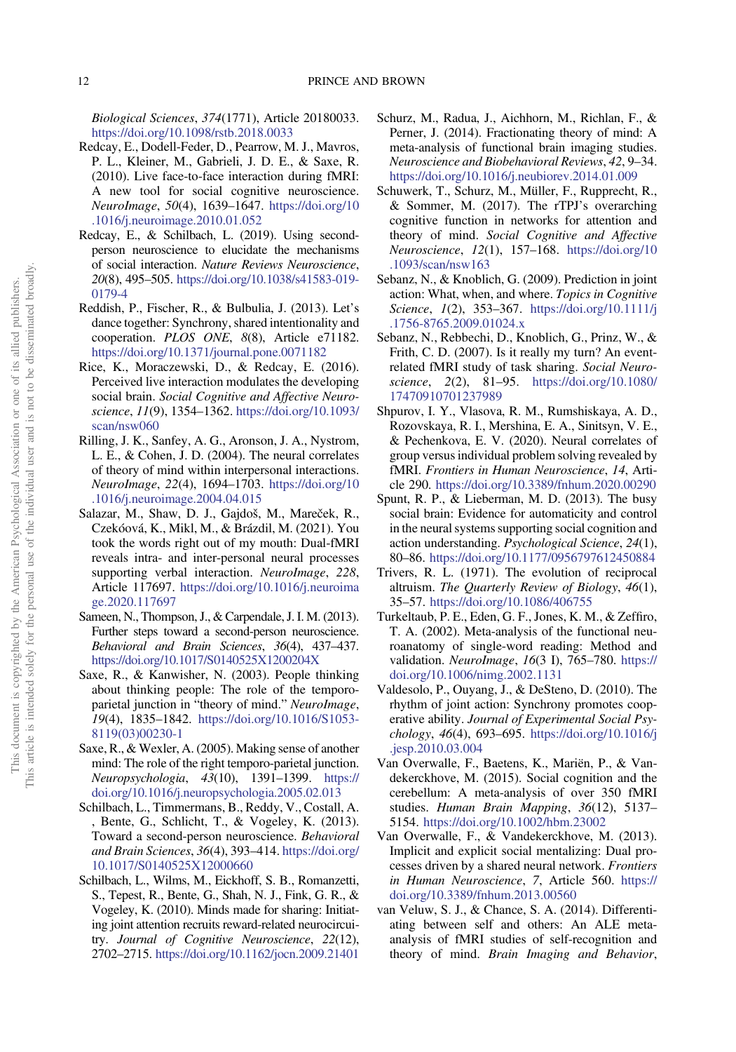<span id="page-11-0"></span>Biological Sciences, 374(1771), Article 20180033. <https://doi.org/10.1098/rstb.2018.0033>

- Redcay, E., Dodell-Feder, D., Pearrow, M. J., Mavros, P. L., Kleiner, M., Gabrieli, J. D. E., & Saxe, R. (2010). Live face-to-face interaction during fMRI: A new tool for social cognitive neuroscience. NeuroImage, 50(4), 1639–1647. [https://doi.org/10](https://doi.org/10.1016/j.neuroimage.2010.01.052) [.1016/j.neuroimage.2010.01.052](https://doi.org/10.1016/j.neuroimage.2010.01.052)
- Redcay, E., & Schilbach, L. (2019). Using secondperson neuroscience to elucidate the mechanisms of social interaction. Nature Reviews Neuroscience, 20(8), 495–505. [https://doi.org/10.1038/s41583-019-](https://doi.org/10.1038/s41583-019-0179-4) [0179-4](https://doi.org/10.1038/s41583-019-0179-4)
- Reddish, P., Fischer, R., & Bulbulia, J. (2013). Let's dance together: Synchrony, shared intentionality and cooperation. PLOS ONE, 8(8), Article e71182. <https://doi.org/10.1371/journal.pone.0071182>
- Rice, K., Moraczewski, D., & Redcay, E. (2016). Perceived live interaction modulates the developing social brain. Social Cognitive and Affective Neuroscience, 11(9), 1354–1362. [https://doi.org/10.1093/](https://doi.org/10.1093/scan/nsw060) [scan/nsw060](https://doi.org/10.1093/scan/nsw060)
- Rilling, J. K., Sanfey, A. G., Aronson, J. A., Nystrom, L. E., & Cohen, J. D. (2004). The neural correlates of theory of mind within interpersonal interactions. NeuroImage, 22(4), 1694–1703. [https://doi.org/10](https://doi.org/10.1016/j.neuroimage.2004.04.015) [.1016/j.neuroimage.2004.04.015](https://doi.org/10.1016/j.neuroimage.2004.04.015)
- Salazar, M., Shaw, D. J., Gajdoš, M., Mareček, R., Czekóová, K., Mikl, M., & Brázdil, M. (2021). You took the words right out of my mouth: Dual-fMRI reveals intra- and inter-personal neural processes supporting verbal interaction. NeuroImage, 228, Article 117697. [https://doi.org/10.1016/j.neuroima](https://doi.org/10.1016/j.neuroimage.2020.117697) [ge.2020.117697](https://doi.org/10.1016/j.neuroimage.2020.117697)
- Sameen, N., Thompson, J., & Carpendale, J. I. M. (2013). Further steps toward a second-person neuroscience. Behavioral and Brain Sciences, 36(4), 437–437. <https://doi.org/10.1017/S0140525X1200204X>
- Saxe, R., & Kanwisher, N. (2003). People thinking about thinking people: The role of the temporoparietal junction in "theory of mind." NeuroImage, 19(4), 1835–1842. [https://doi.org/10.1016/S1053-](https://doi.org/10.1016/S1053-8119(03)00230-1) [8119\(03\)00230-1](https://doi.org/10.1016/S1053-8119(03)00230-1)
- Saxe, R., & Wexler, A. (2005). Making sense of another mind: The role of the right temporo-parietal junction. Neuropsychologia, 43(10), 1391–1399. [https://](https://doi.org/10.1016/j.neuropsychologia.2005.02.013) [doi.org/10.1016/j.neuropsychologia.2005.02.013](https://doi.org/10.1016/j.neuropsychologia.2005.02.013)
- Schilbach, L., Timmermans, B., Reddy, V., Costall, A. , Bente, G., Schlicht, T., & Vogeley, K. (2013). Toward a second-person neuroscience. Behavioral and Brain Sciences, 36(4), 393–414. [https://doi.org/](https://doi.org/10.1017/S0140525X12000660) [10.1017/S0140525X12000660](https://doi.org/10.1017/S0140525X12000660)
- Schilbach, L., Wilms, M., Eickhoff, S. B., Romanzetti, S., Tepest, R., Bente, G., Shah, N. J., Fink, G. R., & Vogeley, K. (2010). Minds made for sharing: Initiating joint attention recruits reward-related neurocircuitry. Journal of Cognitive Neuroscience, 22(12), 2702–2715. <https://doi.org/10.1162/jocn.2009.21401>
- Schurz, M., Radua, J., Aichhorn, M., Richlan, F., & Perner, J. (2014). Fractionating theory of mind: A meta-analysis of functional brain imaging studies. Neuroscience and Biobehavioral Reviews, 42, 9–34. <https://doi.org/10.1016/j.neubiorev.2014.01.009>
- Schuwerk, T., Schurz, M., Müller, F., Rupprecht, R., & Sommer, M. (2017). The rTPJ's overarching cognitive function in networks for attention and theory of mind. Social Cognitive and Affective Neuroscience, 12(1), 157–168. [https://doi.org/10](https://doi.org/10.1093/scan/nsw163) [.1093/scan/nsw163](https://doi.org/10.1093/scan/nsw163)
- Sebanz, N., & Knoblich, G. (2009). Prediction in joint action: What, when, and where. Topics in Cognitive Science, 1(2), 353-367. [https://doi.org/10.1111/j](https://doi.org/10.1111/j.1756-8765.2009.01024.x) [.1756-8765.2009.01024.x](https://doi.org/10.1111/j.1756-8765.2009.01024.x)
- Sebanz, N., Rebbechi, D., Knoblich, G., Prinz, W., & Frith, C. D. (2007). Is it really my turn? An eventrelated fMRI study of task sharing. Social Neuroscience, 2(2), 81–95. [https://doi.org/10.1080/](https://doi.org/10.1080/17470910701237989) [17470910701237989](https://doi.org/10.1080/17470910701237989)
- Shpurov, I. Y., Vlasova, R. M., Rumshiskaya, A. D., Rozovskaya, R. I., Mershina, E. A., Sinitsyn, V. E., & Pechenkova, E. V. (2020). Neural correlates of group versus individual problem solving revealed by fMRI. Frontiers in Human Neuroscience, 14, Article 290. <https://doi.org/10.3389/fnhum.2020.00290>
- Spunt, R. P., & Lieberman, M. D. (2013). The busy social brain: Evidence for automaticity and control in the neural systems supporting social cognition and action understanding. Psychological Science, 24(1), 80–86. <https://doi.org/10.1177/0956797612450884>
- Trivers, R. L. (1971). The evolution of reciprocal altruism. The Quarterly Review of Biology, 46(1), 35–57. <https://doi.org/10.1086/406755>
- Turkeltaub, P. E., Eden, G. F., Jones, K. M., & Zeffiro, T. A. (2002). Meta-analysis of the functional neuroanatomy of single-word reading: Method and validation. NeuroImage, 16(3 I), 765-780. [https://](https://doi.org/10.1006/nimg.2002.1131) [doi.org/10.1006/nimg.2002.1131](https://doi.org/10.1006/nimg.2002.1131)
- Valdesolo, P., Ouyang, J., & DeSteno, D. (2010). The rhythm of joint action: Synchrony promotes cooperative ability. Journal of Experimental Social Psychology, 46(4), 693–695. [https://doi.org/10.1016/j](https://doi.org/10.1016/j.jesp.2010.03.004) [.jesp.2010.03.004](https://doi.org/10.1016/j.jesp.2010.03.004)
- Van Overwalle, F., Baetens, K., Mariën, P., & Vandekerckhove, M. (2015). Social cognition and the cerebellum: A meta-analysis of over 350 fMRI studies. Human Brain Mapping, 36(12), 5137-5154. <https://doi.org/10.1002/hbm.23002>
- Van Overwalle, F., & Vandekerckhove, M. (2013). Implicit and explicit social mentalizing: Dual processes driven by a shared neural network. Frontiers in Human Neuroscience, 7, Article 560. [https://](https://doi.org/10.3389/fnhum.2013.00560) [doi.org/10.3389/fnhum.2013.00560](https://doi.org/10.3389/fnhum.2013.00560)
- van Veluw, S. J., & Chance, S. A. (2014). Differentiating between self and others: An ALE metaanalysis of fMRI studies of self-recognition and theory of mind. Brain Imaging and Behavior,